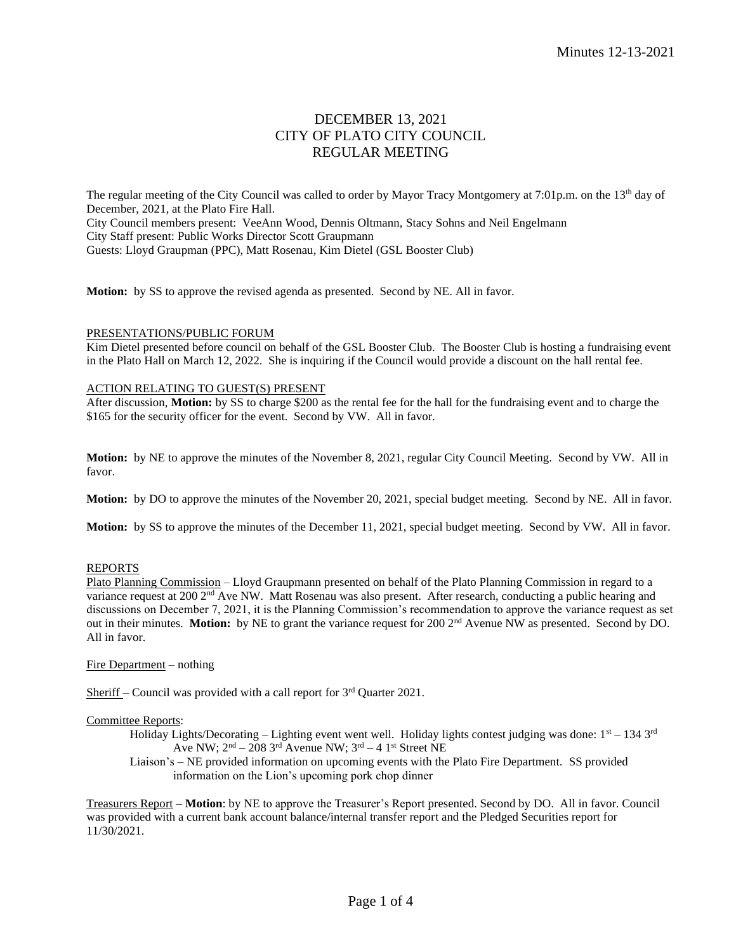# DECEMBER 13, 2021 CITY OF PLATO CITY COUNCIL REGULAR MEETING

The regular meeting of the City Council was called to order by Mayor Tracy Montgomery at 7:01p.m. on the 13<sup>th</sup> day of December, 2021, at the Plato Fire Hall. City Council members present: VeeAnn Wood, Dennis Oltmann, Stacy Sohns and Neil Engelmann City Staff present: Public Works Director Scott Graupmann Guests: Lloyd Graupman (PPC), Matt Rosenau, Kim Dietel (GSL Booster Club)

**Motion:** by SS to approve the revised agenda as presented. Second by NE. All in favor.

#### PRESENTATIONS/PUBLIC FORUM

Kim Dietel presented before council on behalf of the GSL Booster Club. The Booster Club is hosting a fundraising event in the Plato Hall on March 12, 2022. She is inquiring if the Council would provide a discount on the hall rental fee.

#### ACTION RELATING TO GUEST(S) PRESENT

After discussion, **Motion:** by SS to charge \$200 as the rental fee for the hall for the fundraising event and to charge the \$165 for the security officer for the event. Second by VW. All in favor.

**Motion:** by NE to approve the minutes of the November 8, 2021, regular City Council Meeting. Second by VW. All in favor.

**Motion:** by DO to approve the minutes of the November 20, 2021, special budget meeting. Second by NE. All in favor.

**Motion:** by SS to approve the minutes of the December 11, 2021, special budget meeting. Second by VW. All in favor.

# REPORTS

Plato Planning Commission – Lloyd Graupmann presented on behalf of the Plato Planning Commission in regard to a variance request at 200 2<sup>nd</sup> Ave NW. Matt Rosenau was also present. After research, conducting a public hearing and discussions on December 7, 2021, it is the Planning Commission's recommendation to approve the variance request as set out in their minutes. **Motion:** by NE to grant the variance request for 200 2nd Avenue NW as presented. Second by DO. All in favor.

Fire Department – nothing

Sheriff – Council was provided with a call report for  $3<sup>rd</sup>$  Quarter 2021.

#### Committee Reports:

Holiday Lights/Decorating – Lighting event went well. Holiday lights contest judging was done:  $1<sup>st</sup> - 134$  3<sup>rd</sup> Ave NW;  $2<sup>nd</sup> - 208$  3<sup>rd</sup> Avenue NW;  $3<sup>rd</sup> - 4$  1<sup>st</sup> Street NE

Liaison's – NE provided information on upcoming events with the Plato Fire Department. SS provided information on the Lion's upcoming pork chop dinner

Treasurers Report – **Motion**: by NE to approve the Treasurer's Report presented. Second by DO. All in favor. Council was provided with a current bank account balance/internal transfer report and the Pledged Securities report for 11/30/2021.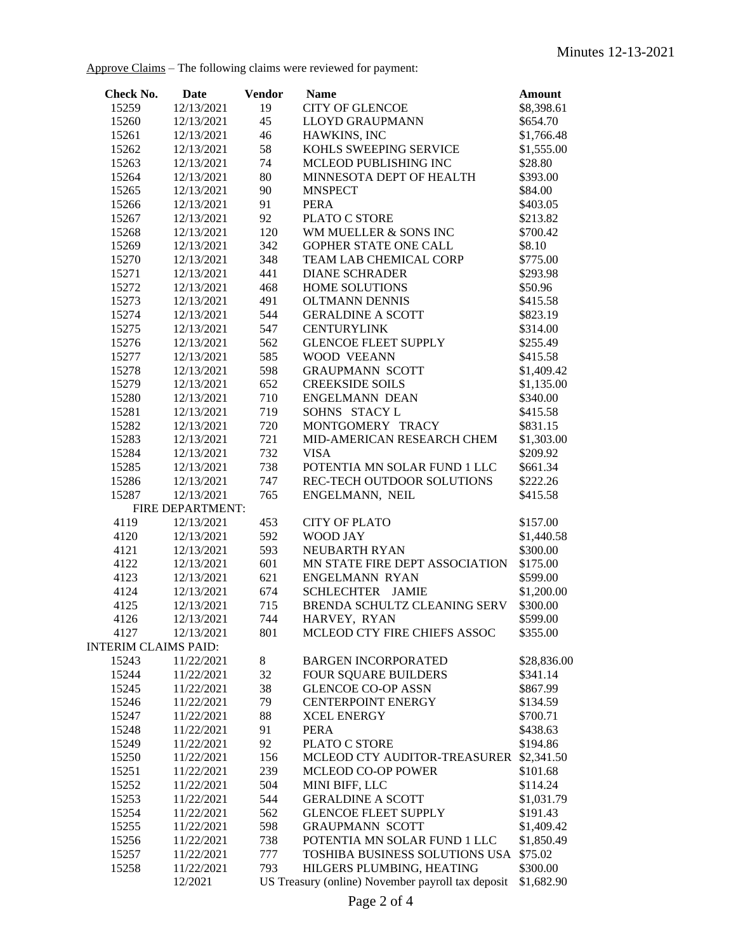Approve Claims – The following claims were reviewed for payment:

| Check No.                   | Date                     | <b>Vendor</b> | <b>Name</b>                                       | <b>Amount</b>          |
|-----------------------------|--------------------------|---------------|---------------------------------------------------|------------------------|
| 15259                       | 12/13/2021               | 19            | <b>CITY OF GLENCOE</b>                            | \$8,398.61             |
| 15260                       | 12/13/2021               | 45            | <b>LLOYD GRAUPMANN</b>                            | \$654.70               |
| 15261                       | 12/13/2021               | 46            | HAWKINS, INC                                      | \$1,766.48             |
| 15262                       | 12/13/2021               | 58            | KOHLS SWEEPING SERVICE                            | \$1,555.00             |
| 15263                       | 12/13/2021               | 74            | MCLEOD PUBLISHING INC                             | \$28.80                |
| 15264                       | 12/13/2021               | 80            | MINNESOTA DEPT OF HEALTH                          | \$393.00               |
| 15265                       | 12/13/2021               | 90            | <b>MNSPECT</b>                                    | \$84.00                |
| 15266                       | 12/13/2021               | 91            | <b>PERA</b>                                       | \$403.05               |
| 15267                       | 12/13/2021               | 92            | PLATO C STORE                                     | \$213.82               |
| 15268                       | 12/13/2021               | 120           | WM MUELLER & SONS INC                             | \$700.42               |
| 15269                       | 12/13/2021               | 342           | GOPHER STATE ONE CALL                             | \$8.10                 |
| 15270                       | 12/13/2021               | 348           | TEAM LAB CHEMICAL CORP                            | \$775.00               |
| 15271                       | 12/13/2021               | 441           | <b>DIANE SCHRADER</b>                             | \$293.98               |
| 15272                       | 12/13/2021               | 468           | HOME SOLUTIONS                                    | \$50.96                |
| 15273                       | 12/13/2021               | 491           | <b>OLTMANN DENNIS</b>                             | \$415.58               |
| 15274                       | 12/13/2021               | 544           | <b>GERALDINE A SCOTT</b>                          | \$823.19               |
| 15275                       | 12/13/2021               | 547           | <b>CENTURYLINK</b>                                | \$314.00               |
| 15276                       | 12/13/2021               | 562           | <b>GLENCOE FLEET SUPPLY</b>                       | \$255.49               |
| 15277                       | 12/13/2021               | 585           | WOOD VEEANN                                       | \$415.58               |
| 15278                       | 12/13/2021               | 598           | <b>GRAUPMANN SCOTT</b>                            | \$1,409.42             |
| 15279                       | 12/13/2021               | 652           | <b>CREEKSIDE SOILS</b>                            | \$1,135.00             |
| 15280                       | 12/13/2021               | 710           | <b>ENGELMANN DEAN</b>                             | \$340.00               |
| 15281                       | 12/13/2021               | 719           | SOHNS STACY L                                     | \$415.58               |
| 15282                       | 12/13/2021               | 720           | MONTGOMERY TRACY                                  | \$831.15               |
| 15283<br>15284              | 12/13/2021<br>12/13/2021 | 721<br>732    | MID-AMERICAN RESEARCH CHEM<br><b>VISA</b>         | \$1,303.00<br>\$209.92 |
| 15285                       | 12/13/2021               | 738           | POTENTIA MN SOLAR FUND 1 LLC                      | \$661.34               |
| 15286                       | 12/13/2021               | 747           | REC-TECH OUTDOOR SOLUTIONS                        | \$222.26               |
| 15287                       | 12/13/2021               | 765           | ENGELMANN, NEIL                                   | \$415.58               |
|                             | FIRE DEPARTMENT:         |               |                                                   |                        |
| 4119                        | 12/13/2021               | 453           | <b>CITY OF PLATO</b>                              | \$157.00               |
| 4120                        | 12/13/2021               | 592           | WOOD JAY                                          | \$1,440.58             |
| 4121                        | 12/13/2021               | 593           | NEUBARTH RYAN                                     | \$300.00               |
| 4122                        | 12/13/2021               | 601           | MN STATE FIRE DEPT ASSOCIATION                    | \$175.00               |
| 4123                        | 12/13/2021               | 621           | <b>ENGELMANN RYAN</b>                             | \$599.00               |
| 4124                        | 12/13/2021               | 674           | SCHLECHTER JAMIE                                  | \$1,200.00             |
| 4125                        | 12/13/2021               | 715           | BRENDA SCHULTZ CLEANING SERV                      | \$300.00               |
| 4126                        | 12/13/2021               | 744           | HARVEY, RYAN                                      | \$599.00               |
| 4127                        | 12/13/2021               | 801           | MCLEOD CTY FIRE CHIEFS ASSOC                      | \$355.00               |
| <b>INTERIM CLAIMS PAID:</b> |                          |               |                                                   |                        |
| 15243                       | 11/22/2021               | 8             | <b>BARGEN INCORPORATED</b>                        | \$28,836.00            |
| 15244                       | 11/22/2021               | 32            | <b>FOUR SQUARE BUILDERS</b>                       | \$341.14               |
| 15245                       | 11/22/2021               | 38            | <b>GLENCOE CO-OP ASSN</b>                         | \$867.99               |
| 15246                       | 11/22/2021               | 79            | <b>CENTERPOINT ENERGY</b>                         | \$134.59               |
| 15247                       | 11/22/2021               | 88            | <b>XCEL ENERGY</b>                                | \$700.71               |
| 15248                       | 11/22/2021               | 91            | <b>PERA</b>                                       | \$438.63               |
| 15249                       | 11/22/2021               | 92            | PLATO C STORE                                     | \$194.86               |
| 15250                       | 11/22/2021               | 156           | MCLEOD CTY AUDITOR-TREASURER                      | \$2,341.50             |
| 15251                       | 11/22/2021               | 239           | <b>MCLEOD CO-OP POWER</b>                         | \$101.68               |
| 15252                       | 11/22/2021               | 504           | MINI BIFF, LLC                                    | \$114.24               |
| 15253                       | 11/22/2021               | 544           | <b>GERALDINE A SCOTT</b>                          | \$1,031.79             |
| 15254                       | 11/22/2021               | 562           | <b>GLENCOE FLEET SUPPLY</b>                       | \$191.43               |
| 15255                       | 11/22/2021               | 598           | <b>GRAUPMANN SCOTT</b>                            | \$1,409.42             |
| 15256                       | 11/22/2021               | 738           | POTENTIA MN SOLAR FUND 1 LLC                      | \$1,850.49             |
| 15257                       | 11/22/2021               | 777           | TOSHIBA BUSINESS SOLUTIONS USA                    | \$75.02                |
| 15258                       | 11/22/2021               | 793           | HILGERS PLUMBING, HEATING                         | \$300.00               |
|                             | 12/2021                  |               | US Treasury (online) November payroll tax deposit | \$1,682.90             |
|                             |                          |               | $D_{\text{max}}$ $\Omega$ = $\Omega$ $\Lambda$    |                        |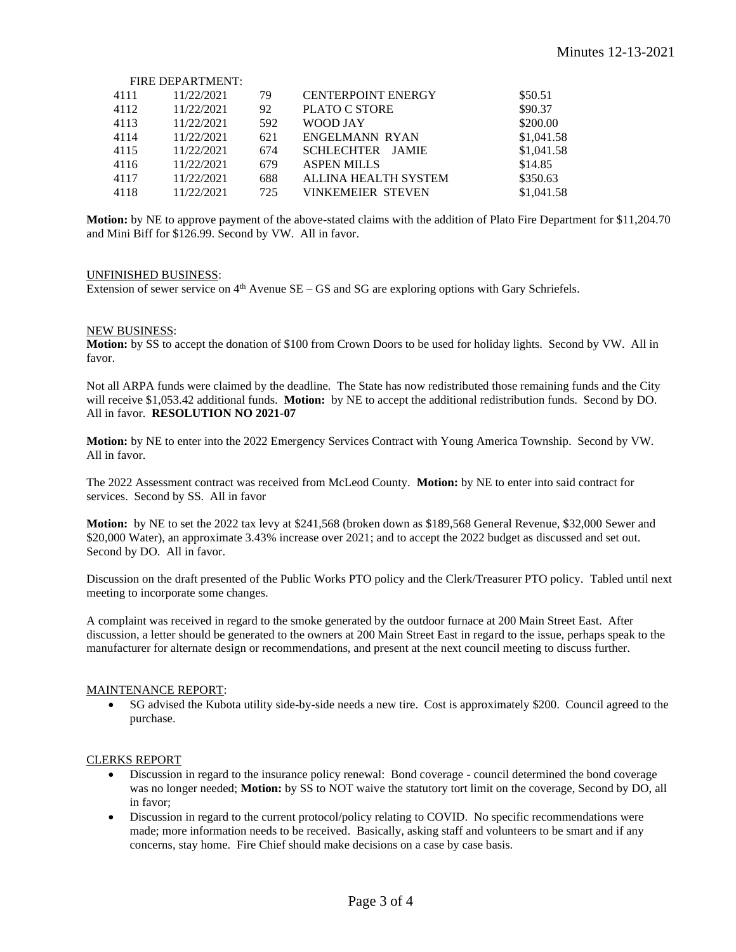|      | FIRE DEPARTMENT: |     |                           |            |
|------|------------------|-----|---------------------------|------------|
| 4111 | 11/22/2021       | 79  | <b>CENTERPOINT ENERGY</b> | \$50.51    |
| 4112 | 11/22/2021       | 92  | <b>PLATO C STORE</b>      | \$90.37    |
| 4113 | 11/22/2021       | 592 | WOOD JAY                  | \$200.00   |
| 4114 | 11/22/2021       | 621 | ENGELMANN RYAN            | \$1,041.58 |
| 4115 | 11/22/2021       | 674 | SCHLECHTER JAMIE          | \$1,041.58 |
| 4116 | 11/22/2021       | 679 | <b>ASPEN MILLS</b>        | \$14.85    |
| 4117 | 11/22/2021       | 688 | ALLINA HEALTH SYSTEM      | \$350.63   |
| 4118 | 11/22/2021       | 725 | <b>VINKEMEIER STEVEN</b>  | \$1,041.58 |

**Motion:** by NE to approve payment of the above-stated claims with the addition of Plato Fire Department for \$11,204.70 and Mini Biff for \$126.99. Second by VW. All in favor.

# UNFINISHED BUSINESS:

 $\mathbf{F}$   $\mathbf{F}$   $\mathbf{F}$   $\mathbf{F}$   $\mathbf{F}$   $\mathbf{F}$   $\mathbf{F}$   $\mathbf{F}$   $\mathbf{F}$   $\mathbf{F}$   $\mathbf{F}$   $\mathbf{F}$   $\mathbf{F}$   $\mathbf{F}$   $\mathbf{F}$   $\mathbf{F}$   $\mathbf{F}$   $\mathbf{F}$   $\mathbf{F}$   $\mathbf{F}$   $\mathbf{F}$   $\mathbf{F}$   $\mathbf{F}$   $\mathbf{F}$   $\mathbf{$ 

Extension of sewer service on  $4<sup>th</sup>$  Avenue SE – GS and SG are exploring options with Gary Schriefels.

#### NEW BUSINESS:

**Motion:** by SS to accept the donation of \$100 from Crown Doors to be used for holiday lights. Second by VW. All in favor.

Not all ARPA funds were claimed by the deadline. The State has now redistributed those remaining funds and the City will receive \$1,053.42 additional funds. **Motion:** by NE to accept the additional redistribution funds. Second by DO. All in favor. **RESOLUTION NO 2021-07**

**Motion:** by NE to enter into the 2022 Emergency Services Contract with Young America Township. Second by VW. All in favor.

The 2022 Assessment contract was received from McLeod County. **Motion:** by NE to enter into said contract for services. Second by SS. All in favor

**Motion:** by NE to set the 2022 tax levy at \$241,568 (broken down as \$189,568 General Revenue, \$32,000 Sewer and \$20,000 Water), an approximate 3.43% increase over 2021; and to accept the 2022 budget as discussed and set out. Second by DO. All in favor.

Discussion on the draft presented of the Public Works PTO policy and the Clerk/Treasurer PTO policy. Tabled until next meeting to incorporate some changes.

A complaint was received in regard to the smoke generated by the outdoor furnace at 200 Main Street East. After discussion, a letter should be generated to the owners at 200 Main Street East in regard to the issue, perhaps speak to the manufacturer for alternate design or recommendations, and present at the next council meeting to discuss further.

#### MAINTENANCE REPORT:

• SG advised the Kubota utility side-by-side needs a new tire. Cost is approximately \$200. Council agreed to the purchase.

## CLERKS REPORT

- Discussion in regard to the insurance policy renewal: Bond coverage council determined the bond coverage was no longer needed; **Motion:** by SS to NOT waive the statutory tort limit on the coverage, Second by DO, all in favor;
- Discussion in regard to the current protocol/policy relating to COVID. No specific recommendations were made; more information needs to be received. Basically, asking staff and volunteers to be smart and if any concerns, stay home. Fire Chief should make decisions on a case by case basis.